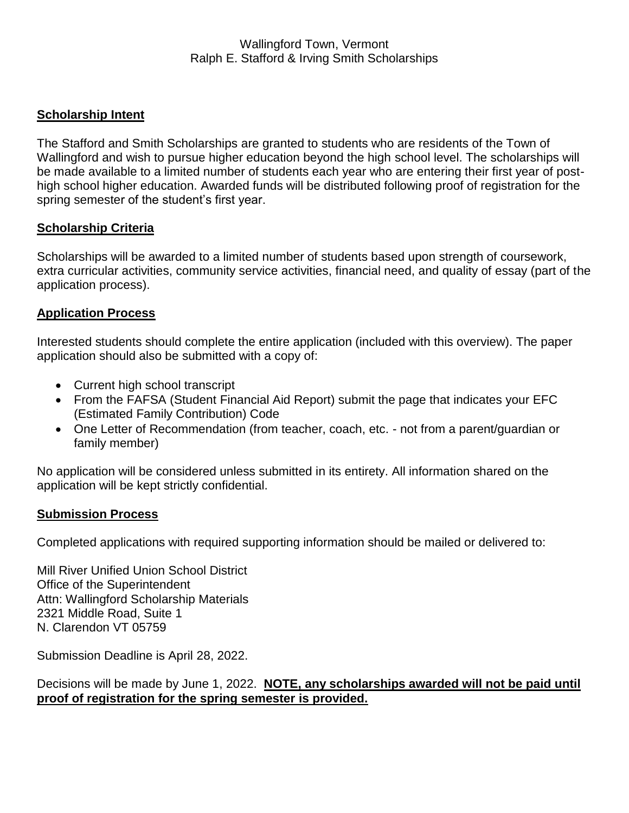# **Scholarship Intent**

The Stafford and Smith Scholarships are granted to students who are residents of the Town of Wallingford and wish to pursue higher education beyond the high school level. The scholarships will be made available to a limited number of students each year who are entering their first year of posthigh school higher education. Awarded funds will be distributed following proof of registration for the spring semester of the student's first year.

## **Scholarship Criteria**

Scholarships will be awarded to a limited number of students based upon strength of coursework, extra curricular activities, community service activities, financial need, and quality of essay (part of the application process).

## **Application Process**

Interested students should complete the entire application (included with this overview). The paper application should also be submitted with a copy of:

- Current high school transcript
- From the FAFSA (Student Financial Aid Report) submit the page that indicates your EFC (Estimated Family Contribution) Code
- One Letter of Recommendation (from teacher, coach, etc. not from a parent/quardian or family member)

No application will be considered unless submitted in its entirety. All information shared on the application will be kept strictly confidential.

#### **Submission Process**

Completed applications with required supporting information should be mailed or delivered to:

Mill River Unified Union School District Office of the Superintendent Attn: Wallingford Scholarship Materials 2321 Middle Road, Suite 1 N. Clarendon VT 05759

Submission Deadline is April 28, 2022.

Decisions will be made by June 1, 2022. **NOTE, any scholarships awarded will not be paid until proof of registration for the spring semester is provided.**